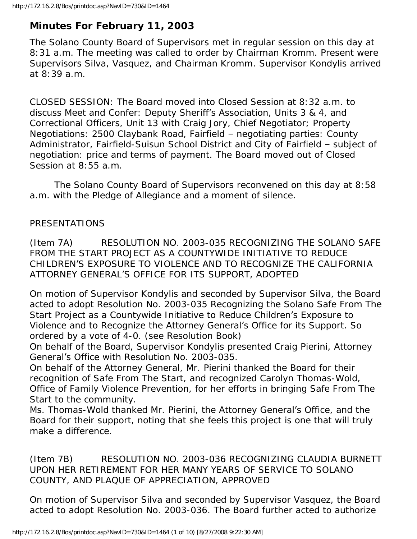# **Minutes For February 11, 2003**

The Solano County Board of Supervisors met in regular session on this day at 8:31 a.m. The meeting was called to order by Chairman Kromm. Present were Supervisors Silva, Vasquez, and Chairman Kromm. Supervisor Kondylis arrived at 8:39 a.m.

CLOSED SESSION: The Board moved into Closed Session at 8:32 a.m. to discuss Meet and Confer: Deputy Sheriff's Association, Units 3 & 4, and Correctional Officers, Unit 13 with Craig Jory, Chief Negotiator; Property Negotiations: 2500 Claybank Road, Fairfield – negotiating parties: County Administrator, Fairfield-Suisun School District and City of Fairfield – subject of negotiation: price and terms of payment. The Board moved out of Closed Session at 8:55 a.m.

 The Solano County Board of Supervisors reconvened on this day at 8:58 a.m. with the Pledge of Allegiance and a moment of silence.

## PRESENTATIONS

(Item 7A) RESOLUTION NO. 2003-035 RECOGNIZING THE SOLANO SAFE FROM THE START PROJECT AS A COUNTYWIDE INITIATIVE TO REDUCE CHILDREN'S EXPOSURE TO VIOLENCE AND TO RECOGNIZE THE CALIFORNIA ATTORNEY GENERAL'S OFFICE FOR ITS SUPPORT, ADOPTED

On motion of Supervisor Kondylis and seconded by Supervisor Silva, the Board acted to adopt Resolution No. 2003-035 Recognizing the Solano Safe From The Start Project as a Countywide Initiative to Reduce Children's Exposure to Violence and to Recognize the Attorney General's Office for its Support. So ordered by a vote of 4-0. (see Resolution Book)

On behalf of the Board, Supervisor Kondylis presented Craig Pierini, Attorney General's Office with Resolution No. 2003-035.

On behalf of the Attorney General, Mr. Pierini thanked the Board for their recognition of Safe From The Start, and recognized Carolyn Thomas-Wold, Office of Family Violence Prevention, for her efforts in bringing Safe From The Start to the community.

Ms. Thomas-Wold thanked Mr. Pierini, the Attorney General's Office, and the Board for their support, noting that she feels this project is one that will truly make a difference.

(Item 7B) RESOLUTION NO. 2003-036 RECOGNIZING CLAUDIA BURNETT UPON HER RETIREMENT FOR HER MANY YEARS OF SERVICE TO SOLANO COUNTY, AND PLAQUE OF APPRECIATION, APPROVED

On motion of Supervisor Silva and seconded by Supervisor Vasquez, the Board acted to adopt Resolution No. 2003-036. The Board further acted to authorize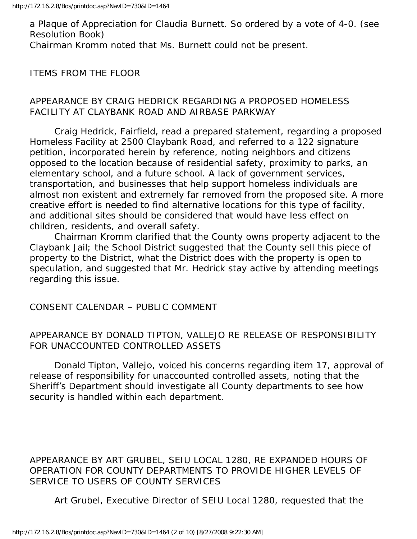a Plaque of Appreciation for Claudia Burnett. So ordered by a vote of 4-0. (see Resolution Book) Chairman Kromm noted that Ms. Burnett could not be present.

ITEMS FROM THE FLOOR

#### APPEARANCE BY CRAIG HEDRICK REGARDING A PROPOSED HOMELESS FACILITY AT CLAYBANK ROAD AND AIRBASE PARKWAY

 Craig Hedrick, Fairfield, read a prepared statement, regarding a proposed Homeless Facility at 2500 Claybank Road, and referred to a 122 signature petition, incorporated herein by reference, noting neighbors and citizens opposed to the location because of residential safety, proximity to parks, an elementary school, and a future school. A lack of government services, transportation, and businesses that help support homeless individuals are almost non existent and extremely far removed from the proposed site. A more creative effort is needed to find alternative locations for this type of facility, and additional sites should be considered that would have less effect on children, residents, and overall safety.

 Chairman Kromm clarified that the County owns property adjacent to the Claybank Jail; the School District suggested that the County sell this piece of property to the District, what the District does with the property is open to speculation, and suggested that Mr. Hedrick stay active by attending meetings regarding this issue.

CONSENT CALENDAR – PUBLIC COMMENT

#### APPEARANCE BY DONALD TIPTON, VALLEJO RE RELEASE OF RESPONSIBILITY FOR UNACCOUNTED CONTROLLED ASSETS

 Donald Tipton, Vallejo, voiced his concerns regarding item 17, approval of release of responsibility for unaccounted controlled assets, noting that the Sheriff's Department should investigate all County departments to see how security is handled within each department.

APPEARANCE BY ART GRUBEL, SEIU LOCAL 1280, RE EXPANDED HOURS OF OPERATION FOR COUNTY DEPARTMENTS TO PROVIDE HIGHER LEVELS OF SERVICE TO USERS OF COUNTY SERVICES

Art Grubel, Executive Director of SEIU Local 1280, requested that the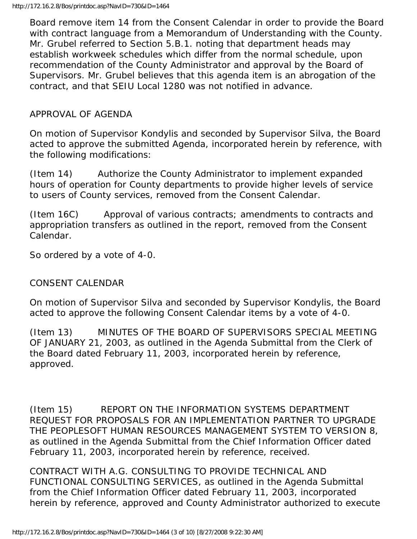Board remove item 14 from the Consent Calendar in order to provide the Board with contract language from a Memorandum of Understanding with the County. Mr. Grubel referred to Section 5.B.1. noting that department heads may establish workweek schedules which differ from the normal schedule, upon recommendation of the County Administrator and approval by the Board of Supervisors. Mr. Grubel believes that this agenda item is an abrogation of the contract, and that SEIU Local 1280 was not notified in advance.

## APPROVAL OF AGENDA

On motion of Supervisor Kondylis and seconded by Supervisor Silva, the Board acted to approve the submitted Agenda, incorporated herein by reference, with the following modifications:

(Item 14) Authorize the County Administrator to implement expanded hours of operation for County departments to provide higher levels of service to users of County services, removed from the Consent Calendar.

(Item 16C) Approval of various contracts; amendments to contracts and appropriation transfers as outlined in the report, removed from the Consent Calendar.

So ordered by a vote of 4-0.

#### CONSENT CALENDAR

On motion of Supervisor Silva and seconded by Supervisor Kondylis, the Board acted to approve the following Consent Calendar items by a vote of 4-0.

(Item 13) MINUTES OF THE BOARD OF SUPERVISORS SPECIAL MEETING OF JANUARY 21, 2003, as outlined in the Agenda Submittal from the Clerk of the Board dated February 11, 2003, incorporated herein by reference, approved.

(Item 15) REPORT ON THE INFORMATION SYSTEMS DEPARTMENT REQUEST FOR PROPOSALS FOR AN IMPLEMENTATION PARTNER TO UPGRADE THE PEOPLESOFT HUMAN RESOURCES MANAGEMENT SYSTEM TO VERSION 8, as outlined in the Agenda Submittal from the Chief Information Officer dated February 11, 2003, incorporated herein by reference, received.

CONTRACT WITH A.G. CONSULTING TO PROVIDE TECHNICAL AND FUNCTIONAL CONSULTING SERVICES, as outlined in the Agenda Submittal from the Chief Information Officer dated February 11, 2003, incorporated herein by reference, approved and County Administrator authorized to execute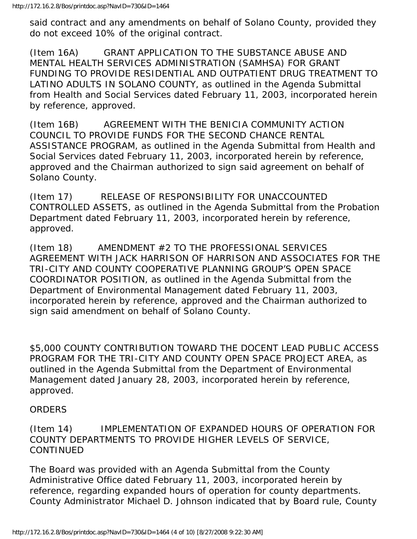said contract and any amendments on behalf of Solano County, provided they do not exceed 10% of the original contract.

(Item 16A) GRANT APPLICATION TO THE SUBSTANCE ABUSE AND MENTAL HEALTH SERVICES ADMINISTRATION (SAMHSA) FOR GRANT FUNDING TO PROVIDE RESIDENTIAL AND OUTPATIENT DRUG TREATMENT TO LATINO ADULTS IN SOLANO COUNTY, as outlined in the Agenda Submittal from Health and Social Services dated February 11, 2003, incorporated herein by reference, approved.

(Item 16B) AGREEMENT WITH THE BENICIA COMMUNITY ACTION COUNCIL TO PROVIDE FUNDS FOR THE SECOND CHANCE RENTAL ASSISTANCE PROGRAM, as outlined in the Agenda Submittal from Health and Social Services dated February 11, 2003, incorporated herein by reference, approved and the Chairman authorized to sign said agreement on behalf of Solano County.

(Item 17) RELEASE OF RESPONSIBILITY FOR UNACCOUNTED CONTROLLED ASSETS, as outlined in the Agenda Submittal from the Probation Department dated February 11, 2003, incorporated herein by reference, approved.

(Item 18) AMENDMENT #2 TO THE PROFESSIONAL SERVICES AGREEMENT WITH JACK HARRISON OF HARRISON AND ASSOCIATES FOR THE TRI-CITY AND COUNTY COOPERATIVE PLANNING GROUP'S OPEN SPACE COORDINATOR POSITION, as outlined in the Agenda Submittal from the Department of Environmental Management dated February 11, 2003, incorporated herein by reference, approved and the Chairman authorized to sign said amendment on behalf of Solano County.

\$5,000 COUNTY CONTRIBUTION TOWARD THE DOCENT LEAD PUBLIC ACCESS PROGRAM FOR THE TRI-CITY AND COUNTY OPEN SPACE PROJECT AREA, as outlined in the Agenda Submittal from the Department of Environmental Management dated January 28, 2003, incorporated herein by reference, approved.

## ORDERS

## (Item 14) IMPLEMENTATION OF EXPANDED HOURS OF OPERATION FOR COUNTY DEPARTMENTS TO PROVIDE HIGHER LEVELS OF SERVICE, CONTINUED

The Board was provided with an Agenda Submittal from the County Administrative Office dated February 11, 2003, incorporated herein by reference, regarding expanded hours of operation for county departments. County Administrator Michael D. Johnson indicated that by Board rule, County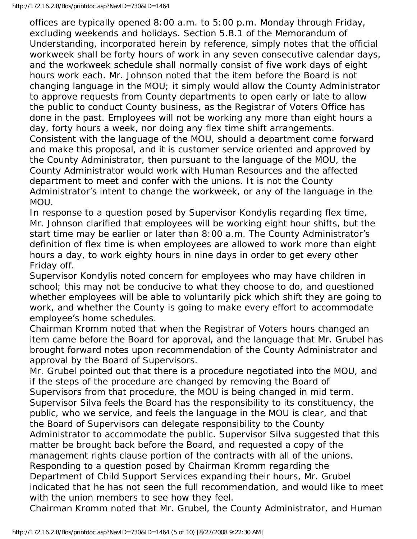offices are typically opened 8:00 a.m. to 5:00 p.m. Monday through Friday, excluding weekends and holidays. Section 5.B.1 of the Memorandum of Understanding, incorporated herein by reference, simply notes that the official workweek shall be forty hours of work in any seven consecutive calendar days, and the workweek schedule shall normally consist of five work days of eight hours work each. Mr. Johnson noted that the item before the Board is not changing language in the MOU; it simply would allow the County Administrator to approve requests from County departments to open early or late to allow the public to conduct County business, as the Registrar of Voters Office has done in the past. Employees will not be working any more than eight hours a day, forty hours a week, nor doing any flex time shift arrangements. Consistent with the language of the MOU, should a department come forward and make this proposal, and it is customer service oriented and approved by the County Administrator, then pursuant to the language of the MOU, the County Administrator would work with Human Resources and the affected department to meet and confer with the unions. It is not the County Administrator's intent to change the workweek, or any of the language in the MOU.

In response to a question posed by Supervisor Kondylis regarding flex time, Mr. Johnson clarified that employees will be working eight hour shifts, but the start time may be earlier or later than 8:00 a.m. The County Administrator's definition of flex time is when employees are allowed to work more than eight hours a day, to work eighty hours in nine days in order to get every other Friday off.

Supervisor Kondylis noted concern for employees who may have children in school; this may not be conducive to what they choose to do, and questioned whether employees will be able to voluntarily pick which shift they are going to work, and whether the County is going to make every effort to accommodate employee's home schedules.

Chairman Kromm noted that when the Registrar of Voters hours changed an item came before the Board for approval, and the language that Mr. Grubel has brought forward notes upon recommendation of the County Administrator and approval by the Board of Supervisors.

Mr. Grubel pointed out that there is a procedure negotiated into the MOU, and if the steps of the procedure are changed by removing the Board of Supervisors from that procedure, the MOU is being changed in mid term. Supervisor Silva feels the Board has the responsibility to its constituency, the public, who we service, and feels the language in the MOU is clear, and that the Board of Supervisors can delegate responsibility to the County

Administrator to accommodate the public. Supervisor Silva suggested that this matter be brought back before the Board, and requested a copy of the

management rights clause portion of the contracts with all of the unions.

Responding to a question posed by Chairman Kromm regarding the

Department of Child Support Services expanding their hours, Mr. Grubel indicated that he has not seen the full recommendation, and would like to meet with the union members to see how they feel.

Chairman Kromm noted that Mr. Grubel, the County Administrator, and Human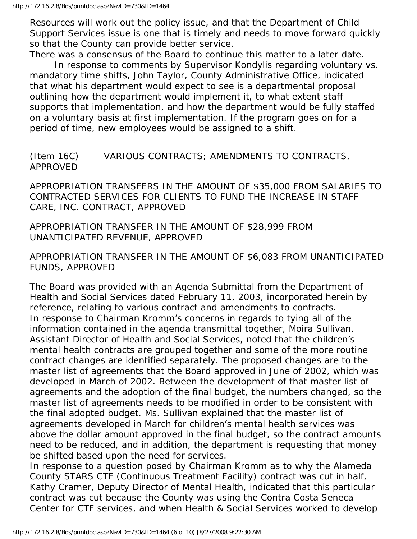Resources will work out the policy issue, and that the Department of Child Support Services issue is one that is timely and needs to move forward quickly so that the County can provide better service.

There was a consensus of the Board to continue this matter to a later date. In response to comments by Supervisor Kondylis regarding voluntary vs. mandatory time shifts, John Taylor, County Administrative Office, indicated that what his department would expect to see is a departmental proposal outlining how the department would implement it, to what extent staff supports that implementation, and how the department would be fully staffed on a voluntary basis at first implementation. If the program goes on for a period of time, new employees would be assigned to a shift.

## (Item 16C) VARIOUS CONTRACTS; AMENDMENTS TO CONTRACTS, APPROVED

APPROPRIATION TRANSFERS IN THE AMOUNT OF \$35,000 FROM SALARIES TO CONTRACTED SERVICES FOR CLIENTS TO FUND THE INCREASE IN STAFF CARE, INC. CONTRACT, APPROVED

APPROPRIATION TRANSFER IN THE AMOUNT OF \$28,999 FROM UNANTICIPATED REVENUE, APPROVED

APPROPRIATION TRANSFER IN THE AMOUNT OF \$6,083 FROM UNANTICIPATED FUNDS, APPROVED

The Board was provided with an Agenda Submittal from the Department of Health and Social Services dated February 11, 2003, incorporated herein by reference, relating to various contract and amendments to contracts. In response to Chairman Kromm's concerns in regards to tying all of the information contained in the agenda transmittal together, Moira Sullivan, Assistant Director of Health and Social Services, noted that the children's mental health contracts are grouped together and some of the more routine contract changes are identified separately. The proposed changes are to the master list of agreements that the Board approved in June of 2002, which was developed in March of 2002. Between the development of that master list of agreements and the adoption of the final budget, the numbers changed, so the master list of agreements needs to be modified in order to be consistent with the final adopted budget. Ms. Sullivan explained that the master list of agreements developed in March for children's mental health services was above the dollar amount approved in the final budget, so the contract amounts need to be reduced, and in addition, the department is requesting that money be shifted based upon the need for services.

In response to a question posed by Chairman Kromm as to why the Alameda County STARS CTF (Continuous Treatment Facility) contract was cut in half, Kathy Cramer, Deputy Director of Mental Health, indicated that this particular contract was cut because the County was using the Contra Costa Seneca Center for CTF services, and when Health & Social Services worked to develop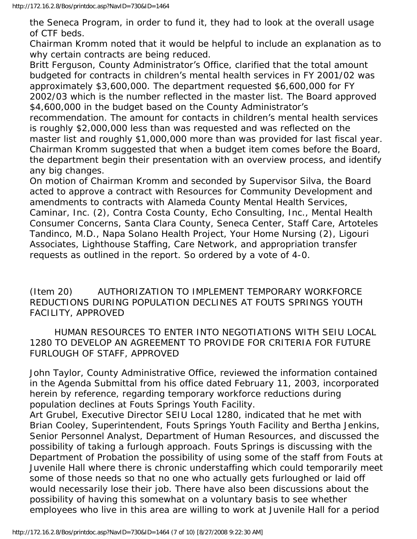the Seneca Program, in order to fund it, they had to look at the overall usage of CTF beds.

Chairman Kromm noted that it would be helpful to include an explanation as to why certain contracts are being reduced.

Britt Ferguson, County Administrator's Office, clarified that the total amount budgeted for contracts in children's mental health services in FY 2001/02 was approximately \$3,600,000. The department requested \$6,600,000 for FY 2002/03 which is the number reflected in the master list. The Board approved \$4,600,000 in the budget based on the County Administrator's recommendation. The amount for contacts in children's mental health services is roughly \$2,000,000 less than was requested and was reflected on the master list and roughly \$1,000,000 more than was provided for last fiscal year. Chairman Kromm suggested that when a budget item comes before the Board, the department begin their presentation with an overview process, and identify any big changes.

On motion of Chairman Kromm and seconded by Supervisor Silva, the Board acted to approve a contract with Resources for Community Development and amendments to contracts with Alameda County Mental Health Services, Caminar, Inc. (2), Contra Costa County, Echo Consulting, Inc., Mental Health Consumer Concerns, Santa Clara County, Seneca Center, Staff Care, Artoteles Tandinco, M.D., Napa Solano Health Project, Your Home Nursing (2), Ligouri Associates, Lighthouse Staffing, Care Network, and appropriation transfer requests as outlined in the report. So ordered by a vote of 4-0.

(Item 20) AUTHORIZATION TO IMPLEMENT TEMPORARY WORKFORCE REDUCTIONS DURING POPULATION DECLINES AT FOUTS SPRINGS YOUTH FACILITY, APPROVED

 HUMAN RESOURCES TO ENTER INTO NEGOTIATIONS WITH SEIU LOCAL 1280 TO DEVELOP AN AGREEMENT TO PROVIDE FOR CRITERIA FOR FUTURE FURLOUGH OF STAFF, APPROVED

John Taylor, County Administrative Office, reviewed the information contained in the Agenda Submittal from his office dated February 11, 2003, incorporated herein by reference, regarding temporary workforce reductions during population declines at Fouts Springs Youth Facility.

Art Grubel, Executive Director SEIU Local 1280, indicated that he met with Brian Cooley, Superintendent, Fouts Springs Youth Facility and Bertha Jenkins, Senior Personnel Analyst, Department of Human Resources, and discussed the possibility of taking a furlough approach. Fouts Springs is discussing with the Department of Probation the possibility of using some of the staff from Fouts at Juvenile Hall where there is chronic understaffing which could temporarily meet some of those needs so that no one who actually gets furloughed or laid off would necessarily lose their job. There have also been discussions about the possibility of having this somewhat on a voluntary basis to see whether employees who live in this area are willing to work at Juvenile Hall for a period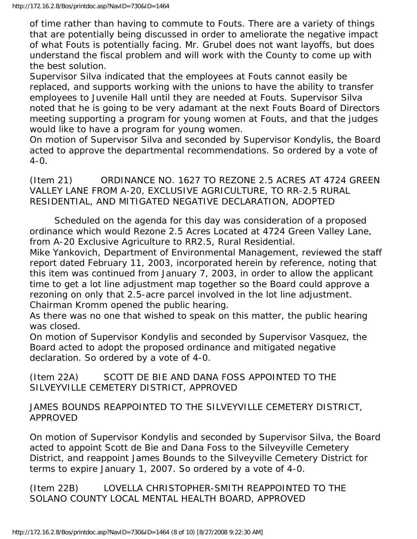of time rather than having to commute to Fouts. There are a variety of things that are potentially being discussed in order to ameliorate the negative impact of what Fouts is potentially facing. Mr. Grubel does not want layoffs, but does understand the fiscal problem and will work with the County to come up with the best solution.

Supervisor Silva indicated that the employees at Fouts cannot easily be replaced, and supports working with the unions to have the ability to transfer employees to Juvenile Hall until they are needed at Fouts. Supervisor Silva noted that he is going to be very adamant at the next Fouts Board of Directors meeting supporting a program for young women at Fouts, and that the judges would like to have a program for young women.

On motion of Supervisor Silva and seconded by Supervisor Kondylis, the Board acted to approve the departmental recommendations. So ordered by a vote of 4-0.

(Item 21) ORDINANCE NO. 1627 TO REZONE 2.5 ACRES AT 4724 GREEN VALLEY LANE FROM A-20, EXCLUSIVE AGRICULTURE, TO RR-2.5 RURAL RESIDENTIAL, AND MITIGATED NEGATIVE DECLARATION, ADOPTED

 Scheduled on the agenda for this day was consideration of a proposed ordinance which would Rezone 2.5 Acres Located at 4724 Green Valley Lane, from A-20 Exclusive Agriculture to RR2.5, Rural Residential.

Mike Yankovich, Department of Environmental Management, reviewed the staff report dated February 11, 2003, incorporated herein by reference, noting that this item was continued from January 7, 2003, in order to allow the applicant time to get a lot line adjustment map together so the Board could approve a rezoning on only that 2.5-acre parcel involved in the lot line adjustment. Chairman Kromm opened the public hearing.

As there was no one that wished to speak on this matter, the public hearing was closed.

On motion of Supervisor Kondylis and seconded by Supervisor Vasquez, the Board acted to adopt the proposed ordinance and mitigated negative declaration. So ordered by a vote of 4-0.

(Item 22A) SCOTT DE BIE AND DANA FOSS APPOINTED TO THE SILVEYVILLE CEMETERY DISTRICT, APPROVED

JAMES BOUNDS REAPPOINTED TO THE SILVEYVILLE CEMETERY DISTRICT, APPROVED

On motion of Supervisor Kondylis and seconded by Supervisor Silva, the Board acted to appoint Scott de Bie and Dana Foss to the Silveyville Cemetery District, and reappoint James Bounds to the Silveyville Cemetery District for terms to expire January 1, 2007. So ordered by a vote of 4-0.

(Item 22B) LOVELLA CHRISTOPHER-SMITH REAPPOINTED TO THE SOLANO COUNTY LOCAL MENTAL HEALTH BOARD, APPROVED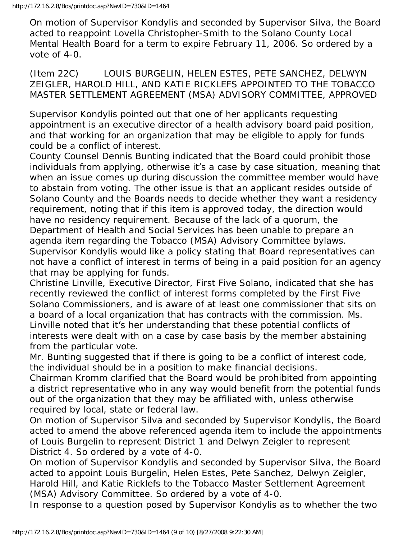On motion of Supervisor Kondylis and seconded by Supervisor Silva, the Board acted to reappoint Lovella Christopher-Smith to the Solano County Local Mental Health Board for a term to expire February 11, 2006. So ordered by a vote of 4-0.

(Item 22C) LOUIS BURGELIN, HELEN ESTES, PETE SANCHEZ, DELWYN ZEIGLER, HAROLD HILL, AND KATIE RICKLEFS APPOINTED TO THE TOBACCO MASTER SETTLEMENT AGREEMENT (MSA) ADVISORY COMMITTEE, APPROVED

Supervisor Kondylis pointed out that one of her applicants requesting appointment is an executive director of a health advisory board paid position, and that working for an organization that may be eligible to apply for funds could be a conflict of interest.

County Counsel Dennis Bunting indicated that the Board could prohibit those individuals from applying, otherwise it's a case by case situation, meaning that when an issue comes up during discussion the committee member would have to abstain from voting. The other issue is that an applicant resides outside of Solano County and the Boards needs to decide whether they want a residency requirement, noting that if this item is approved today, the direction would have no residency requirement. Because of the lack of a quorum, the Department of Health and Social Services has been unable to prepare an agenda item regarding the Tobacco (MSA) Advisory Committee bylaws. Supervisor Kondylis would like a policy stating that Board representatives can not have a conflict of interest in terms of being in a paid position for an agency that may be applying for funds.

Christine Linville, Executive Director, First Five Solano, indicated that she has recently reviewed the conflict of interest forms completed by the First Five Solano Commissioners, and is aware of at least one commissioner that sits on a board of a local organization that has contracts with the commission. Ms. Linville noted that it's her understanding that these potential conflicts of interests were dealt with on a case by case basis by the member abstaining from the particular vote.

Mr. Bunting suggested that if there is going to be a conflict of interest code, the individual should be in a position to make financial decisions.

Chairman Kromm clarified that the Board would be prohibited from appointing a district representative who in any way would benefit from the potential funds out of the organization that they may be affiliated with, unless otherwise required by local, state or federal law.

On motion of Supervisor Silva and seconded by Supervisor Kondylis, the Board acted to amend the above referenced agenda item to include the appointments of Louis Burgelin to represent District 1 and Delwyn Zeigler to represent District 4. So ordered by a vote of 4-0.

On motion of Supervisor Kondylis and seconded by Supervisor Silva, the Board acted to appoint Louis Burgelin, Helen Estes, Pete Sanchez, Delwyn Zeigler, Harold Hill, and Katie Ricklefs to the Tobacco Master Settlement Agreement (MSA) Advisory Committee. So ordered by a vote of 4-0.

In response to a question posed by Supervisor Kondylis as to whether the two